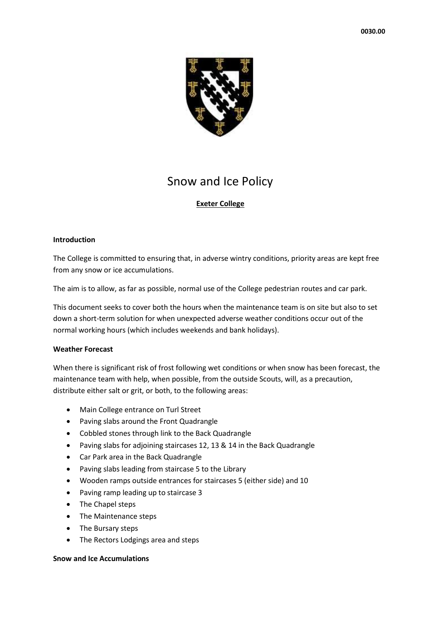

# Snow and Ice Policy

# **Exeter College**

### **Introduction**

The College is committed to ensuring that, in adverse wintry conditions, priority areas are kept free from any snow or ice accumulations.

The aim is to allow, as far as possible, normal use of the College pedestrian routes and car park.

This document seeks to cover both the hours when the maintenance team is on site but also to set down a short-term solution for when unexpected adverse weather conditions occur out of the normal working hours (which includes weekends and bank holidays).

### **Weather Forecast**

When there is significant risk of frost following wet conditions or when snow has been forecast, the maintenance team with help, when possible, from the outside Scouts, will, as a precaution, distribute either salt or grit, or both, to the following areas:

- Main College entrance on Turl Street
- Paving slabs around the Front Quadrangle
- Cobbled stones through link to the Back Quadrangle
- Paving slabs for adjoining staircases 12, 13 & 14 in the Back Quadrangle
- Car Park area in the Back Quadrangle
- Paving slabs leading from staircase 5 to the Library
- Wooden ramps outside entrances for staircases 5 (either side) and 10
- Paving ramp leading up to staircase 3
- The Chapel steps
- The Maintenance steps
- The Bursary steps
- The Rectors Lodgings area and steps

### **Snow and Ice Accumulations**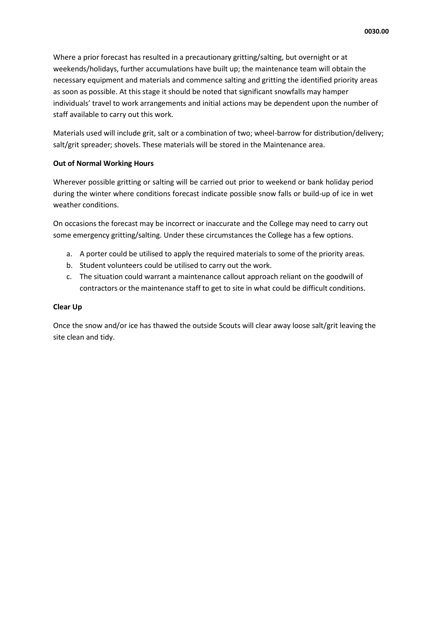Where a prior forecast has resulted in a precautionary gritting/salting, but overnight or at weekends/holidays, further accumulations have built up; the maintenance team will obtain the necessary equipment and materials and commence salting and gritting the identified priority areas as soon as possible. At this stage it should be noted that significant snowfalls may hamper individuals' travel to work arrangements and initial actions may be dependent upon the number of staff available to carry out this work.

Materials used will include grit, salt or a combination of two; wheel-barrow for distribution/delivery; salt/grit spreader; shovels. These materials will be stored in the Maintenance area.

### **Out of Normal Working Hours**

Wherever possible gritting or salting will be carried out prior to weekend or bank holiday period during the winter where conditions forecast indicate possible snow falls or build-up of ice in wet weather conditions.

On occasions the forecast may be incorrect or inaccurate and the College may need to carry out some emergency gritting/salting. Under these circumstances the College has a few options.

- a. A porter could be utilised to apply the required materials to some of the priority areas.
- b. Student volunteers could be utilised to carry out the work.
- c. The situation could warrant a maintenance callout approach reliant on the goodwill of contractors or the maintenance staff to get to site in what could be difficult conditions.

#### **Clear Up**

Once the snow and/or ice has thawed the outside Scouts will clear away loose salt/grit leaving the site clean and tidy.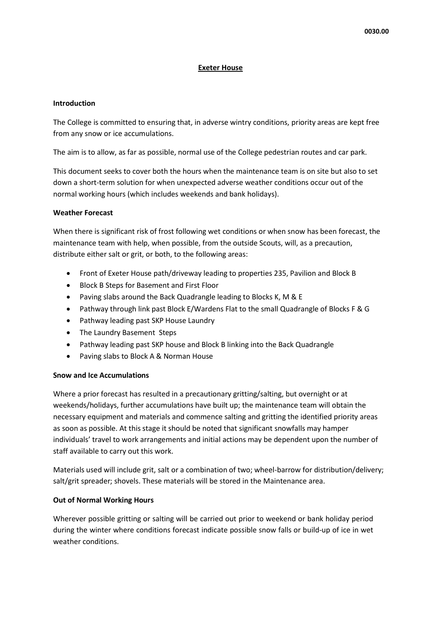### **Exeter House**

#### **Introduction**

The College is committed to ensuring that, in adverse wintry conditions, priority areas are kept free from any snow or ice accumulations.

The aim is to allow, as far as possible, normal use of the College pedestrian routes and car park.

This document seeks to cover both the hours when the maintenance team is on site but also to set down a short-term solution for when unexpected adverse weather conditions occur out of the normal working hours (which includes weekends and bank holidays).

### **Weather Forecast**

When there is significant risk of frost following wet conditions or when snow has been forecast, the maintenance team with help, when possible, from the outside Scouts, will, as a precaution, distribute either salt or grit, or both, to the following areas:

- Front of Exeter House path/driveway leading to properties 235, Pavilion and Block B
- Block B Steps for Basement and First Floor
- Paving slabs around the Back Quadrangle leading to Blocks K, M & E
- Pathway through link past Block E/Wardens Flat to the small Quadrangle of Blocks F & G
- Pathway leading past SKP House Laundry
- The Laundry Basement Steps
- Pathway leading past SKP house and Block B linking into the Back Quadrangle
- Paving slabs to Block A & Norman House

### **Snow and Ice Accumulations**

Where a prior forecast has resulted in a precautionary gritting/salting, but overnight or at weekends/holidays, further accumulations have built up; the maintenance team will obtain the necessary equipment and materials and commence salting and gritting the identified priority areas as soon as possible. At this stage it should be noted that significant snowfalls may hamper individuals' travel to work arrangements and initial actions may be dependent upon the number of staff available to carry out this work.

Materials used will include grit, salt or a combination of two; wheel-barrow for distribution/delivery; salt/grit spreader; shovels. These materials will be stored in the Maintenance area.

### **Out of Normal Working Hours**

Wherever possible gritting or salting will be carried out prior to weekend or bank holiday period during the winter where conditions forecast indicate possible snow falls or build-up of ice in wet weather conditions.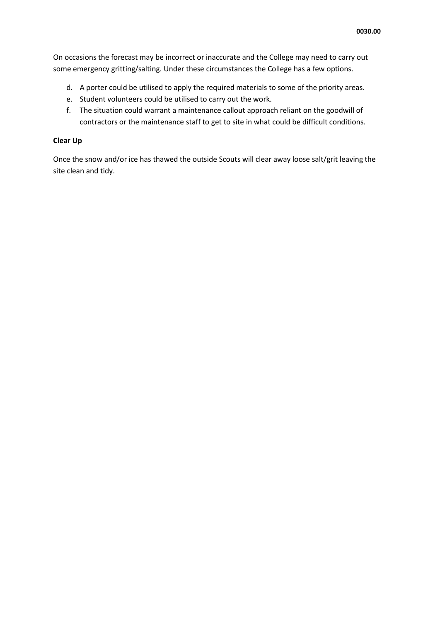On occasions the forecast may be incorrect or inaccurate and the College may need to carry out some emergency gritting/salting. Under these circumstances the College has a few options.

- d. A porter could be utilised to apply the required materials to some of the priority areas.
- e. Student volunteers could be utilised to carry out the work.
- f. The situation could warrant a maintenance callout approach reliant on the goodwill of contractors or the maintenance staff to get to site in what could be difficult conditions.

# **Clear Up**

Once the snow and/or ice has thawed the outside Scouts will clear away loose salt/grit leaving the site clean and tidy.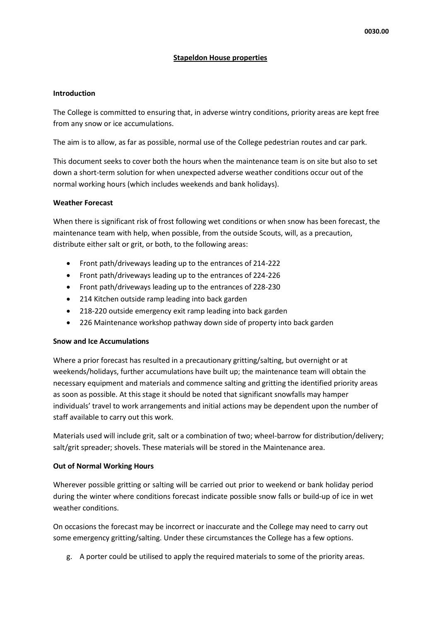## **Stapeldon House properties**

### **Introduction**

The College is committed to ensuring that, in adverse wintry conditions, priority areas are kept free from any snow or ice accumulations.

The aim is to allow, as far as possible, normal use of the College pedestrian routes and car park.

This document seeks to cover both the hours when the maintenance team is on site but also to set down a short-term solution for when unexpected adverse weather conditions occur out of the normal working hours (which includes weekends and bank holidays).

### **Weather Forecast**

When there is significant risk of frost following wet conditions or when snow has been forecast, the maintenance team with help, when possible, from the outside Scouts, will, as a precaution, distribute either salt or grit, or both, to the following areas:

- Front path/driveways leading up to the entrances of 214-222
- Front path/driveways leading up to the entrances of 224-226
- Front path/driveways leading up to the entrances of 228-230
- 214 Kitchen outside ramp leading into back garden
- 218-220 outside emergency exit ramp leading into back garden
- 226 Maintenance workshop pathway down side of property into back garden

### **Snow and Ice Accumulations**

Where a prior forecast has resulted in a precautionary gritting/salting, but overnight or at weekends/holidays, further accumulations have built up; the maintenance team will obtain the necessary equipment and materials and commence salting and gritting the identified priority areas as soon as possible. At this stage it should be noted that significant snowfalls may hamper individuals' travel to work arrangements and initial actions may be dependent upon the number of staff available to carry out this work.

Materials used will include grit, salt or a combination of two; wheel-barrow for distribution/delivery; salt/grit spreader; shovels. These materials will be stored in the Maintenance area.

### **Out of Normal Working Hours**

Wherever possible gritting or salting will be carried out prior to weekend or bank holiday period during the winter where conditions forecast indicate possible snow falls or build-up of ice in wet weather conditions.

On occasions the forecast may be incorrect or inaccurate and the College may need to carry out some emergency gritting/salting. Under these circumstances the College has a few options.

g. A porter could be utilised to apply the required materials to some of the priority areas.